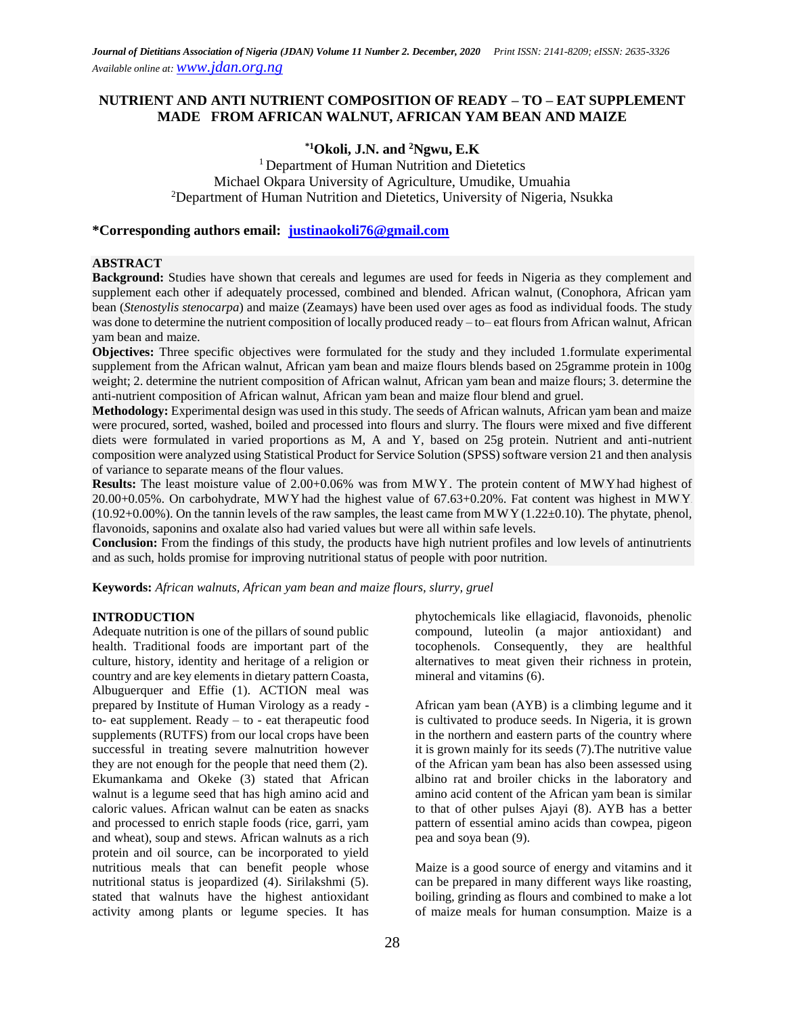# **NUTRIENT AND ANTI NUTRIENT COMPOSITION OF READY – TO – EAT SUPPLEMENT MADE FROM AFRICAN WALNUT, AFRICAN YAM BEAN AND MAIZE**

# **\*1Okoli, J.N. and <sup>2</sup>Ngwu, E.K**

<sup>1</sup> Department of Human Nutrition and Dietetics Michael Okpara University of Agriculture, Umudike, Umuahia <sup>2</sup>Department of Human Nutrition and Dietetics, University of Nigeria, Nsukka

### **\*Corresponding authors email: [justinaokoli76@gmail.com](mailto:justinaokoli76@gmail.com)**

#### **ABSTRACT**

**Background:** Studies have shown that cereals and legumes are used for feeds in Nigeria as they complement and supplement each other if adequately processed, combined and blended. African walnut, (Conophora, African yam bean (*Stenostylis stenocarpa*) and maize (Zeamays) have been used over ages as food as individual foods. The study was done to determine the nutrient composition of locally produced ready – to– eat flours from African walnut, African yam bean and maize.

**Objectives:** Three specific objectives were formulated for the study and they included 1.formulate experimental supplement from the African walnut, African yam bean and maize flours blends based on 25gramme protein in 100g weight; 2. determine the nutrient composition of African walnut, African yam bean and maize flours; 3. determine the anti-nutrient composition of African walnut, African yam bean and maize flour blend and gruel.

**Methodology:** Experimental design was used in this study. The seeds of African walnuts, African yam bean and maize were procured, sorted, washed, boiled and processed into flours and slurry. The flours were mixed and five different diets were formulated in varied proportions as M, A and Y, based on 25g protein. Nutrient and anti-nutrient composition were analyzed using Statistical Product for Service Solution (SPSS) software version 21 and then analysis of variance to separate means of the flour values.

**Results:** The least moisture value of 2.00+0.06% was from MWY. The protein content of MWYhad highest of  $20.00+0.05%$ . On carbohydrate, MWY had the highest value of 67.63+0.20%. Fat content was highest in MWY.  $(10.92+0.00\%)$ . On the tannin levels of the raw samples, the least came from MWY $(1.22\pm0.10)$ . The phytate, phenol, flavonoids, saponins and oxalate also had varied values but were all within safe levels.

**Conclusion:** From the findings of this study, the products have high nutrient profiles and low levels of antinutrients and as such, holds promise for improving nutritional status of people with poor nutrition.

**Keywords:** *African walnuts, African yam bean and maize flours, slurry, gruel*

#### **INTRODUCTION**

Adequate nutrition is one of the pillars of sound public health. Traditional foods are important part of the culture, history, identity and heritage of a religion or country and are key elements in dietary pattern Coasta, Albuguerquer and Effie (1). ACTION meal was prepared by Institute of Human Virology as a ready to- eat supplement. Ready – to - eat therapeutic food supplements (RUTFS) from our local crops have been successful in treating severe malnutrition however they are not enough for the people that need them (2). Ekumankama and Okeke (3) stated that African walnut is a legume seed that has high amino acid and caloric values. African walnut can be eaten as snacks and processed to enrich staple foods (rice, garri, yam and wheat), soup and stews. African walnuts as a rich protein and oil source, can be incorporated to yield nutritious meals that can benefit people whose nutritional status is jeopardized (4). Sirilakshmi (5). stated that walnuts have the highest antioxidant activity among plants or legume species. It has

phytochemicals like ellagiacid, flavonoids, phenolic compound, luteolin (a major antioxidant) and tocophenols. Consequently, they are healthful alternatives to meat given their richness in protein, mineral and vitamins (6).

African yam bean (AYB) is a climbing legume and it is cultivated to produce seeds. In Nigeria, it is grown in the northern and eastern parts of the country where it is grown mainly for its seeds (7).The nutritive value of the African yam bean has also been assessed using albino rat and broiler chicks in the laboratory and amino acid content of the African yam bean is similar to that of other pulses Ajayi (8). AYB has a better pattern of essential amino acids than cowpea, pigeon pea and soya bean (9).

Maize is a good source of energy and vitamins and it can be prepared in many different ways like roasting, boiling, grinding as flours and combined to make a lot of maize meals for human consumption. Maize is a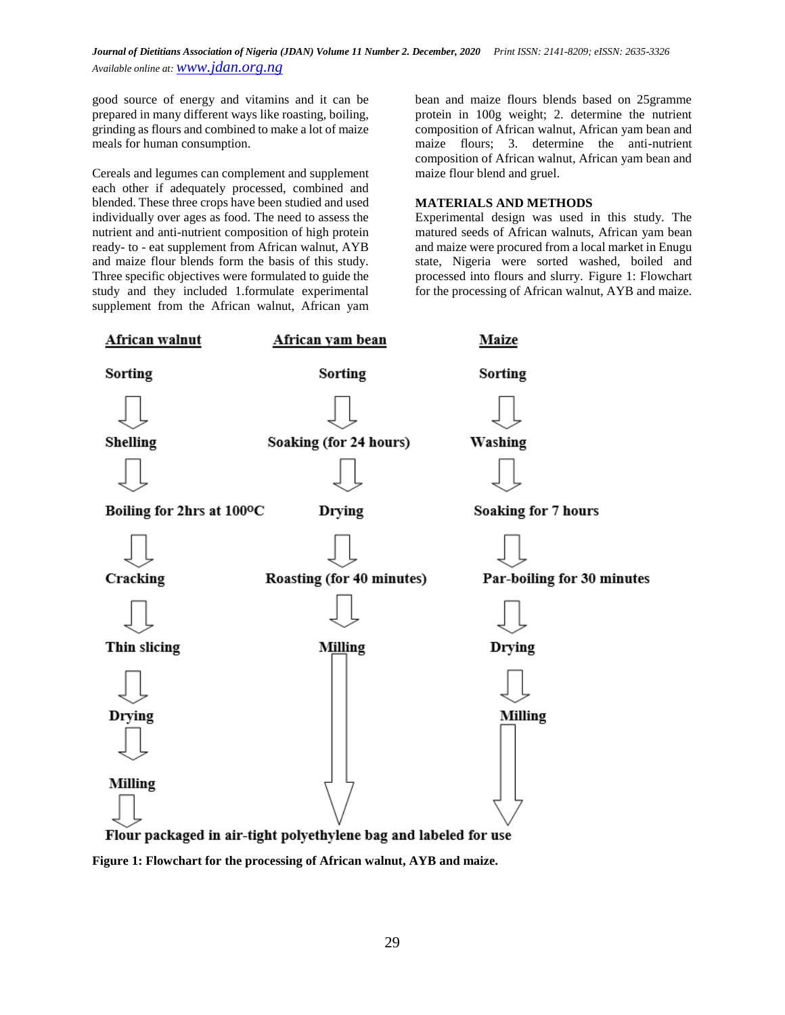good source of energy and vitamins and it can be prepared in many different ways like roasting, boiling, grinding as flours and combined to make a lot of maize meals for human consumption.

Cereals and legumes can complement and supplement each other if adequately processed, combined and blended. These three crops have been studied and used individually over ages as food. The need to assess the nutrient and anti-nutrient composition of high protein ready- to - eat supplement from African walnut, AYB and maize flour blends form the basis of this study. Three specific objectives were formulated to guide the study and they included 1.formulate experimental supplement from the African walnut, African yam bean and maize flours blends based on 25gramme protein in 100g weight; 2. determine the nutrient composition of African walnut, African yam bean and maize flours; 3. determine the anti-nutrient composition of African walnut, African yam bean and maize flour blend and gruel.

### **MATERIALS AND METHODS**

Experimental design was used in this study. The matured seeds of African walnuts, African yam bean and maize were procured from a local market in Enugu state, Nigeria were sorted washed, boiled and processed into flours and slurry. Figure 1: Flowchart for the processing of African walnut, AYB and maize.



**Figure 1: Flowchart for the processing of African walnut, AYB and maize.**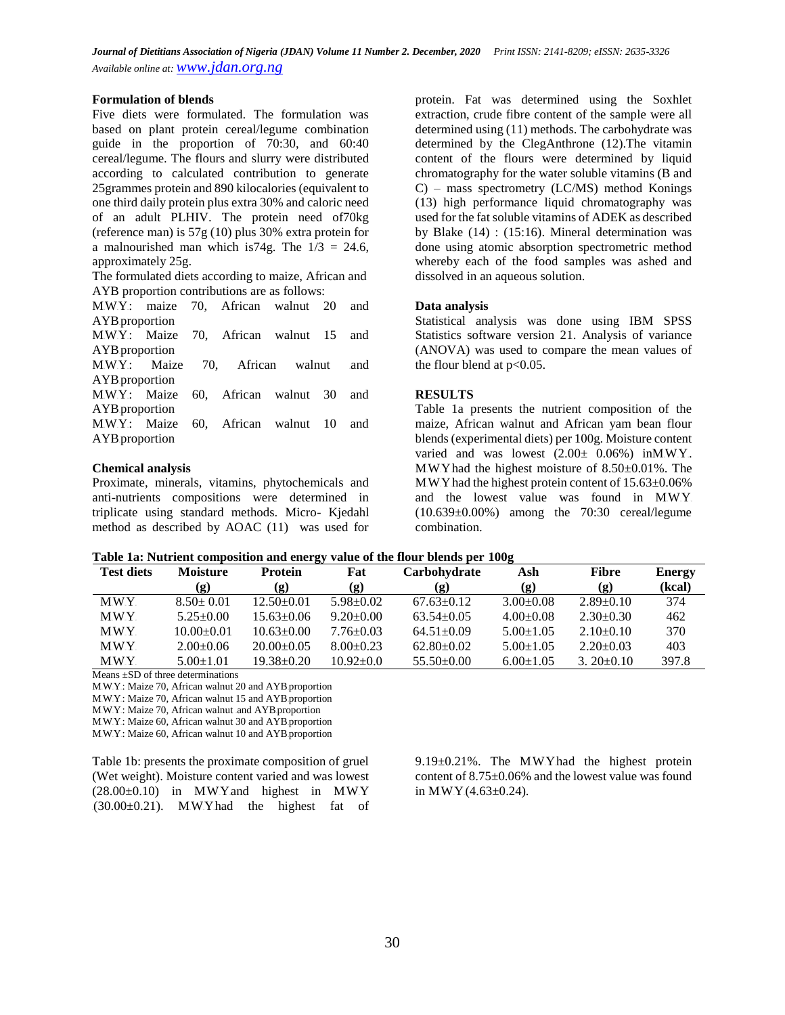#### **Formulation of blends**

Five diets were formulated. The formulation was based on plant protein cereal/legume combination guide in the proportion of 70:30, and 60:40 cereal/legume. The flours and slurry were distributed according to calculated contribution to generate 25grammes protein and 890 kilocalories (equivalent to one third daily protein plus extra 30% and caloric need of an adult PLHIV. The protein need of70kg (reference man) is 57g (10) plus 30% extra protein for a malnourished man which is 74g. The  $1/3 = 24.6$ , approximately 25g.

The formulated diets according to maize, African and AYB proportion contributions are as follows:

MW.Y: maize 70, African walnut 20 and AYB<sub>proportion</sub> MW.Y: Maize 70, African walnut 15 and AYB proportion MW.Y.: Maize 70, African walnut and AYB proportion MWY: Maize 60, African walnut 30 and AYB proportion MWY: Maize 60, African walnut 10 and AYB proportion

# **Chemical analysis**

Proximate, minerals, vitamins, phytochemicals and anti-nutrients compositions were determined in triplicate using standard methods. Micro- Kjedahl method as described by AOAC (11) was used for

protein. Fat was determined using the Soxhlet extraction, crude fibre content of the sample were all determined using (11) methods. The carbohydrate was determined by the ClegAnthrone (12).The vitamin content of the flours were determined by liquid chromatography for the water soluble vitamins (B and C) – mass spectrometry (LC/MS) method Konings (13) high performance liquid chromatography was used for the fat soluble vitamins of ADEK as described by Blake (14) : (15:16). Mineral determination was done using atomic absorption spectrometric method whereby each of the food samples was ashed and dissolved in an aqueous solution.

### **Data analysis**

Statistical analysis was done using IBM SPSS Statistics software version 21. Analysis of variance (ANOVA) was used to compare the mean values of the flour blend at  $p<0.05$ .

# **RESULTS**

Table 1a presents the nutrient composition of the maize, African walnut and African yam bean flour blends (experimental diets) per 100g. Moisture content varied and was lowest  $(2.00\pm 0.06\%)$  in MW.Y. MW.Y had the highest moisture of  $8.50\pm0.01\%$ . The M.W.Y. had the highest protein content of  $15.63\pm0.06\%$ and the lowest value was found in  $M\ddot{W}$ . (10.639±0.00%) among the 70:30 cereal/legume combination.

### **Table 1a: Nutrient composition and energy value of the flour blends per 100g**

| <b>Test diets</b> | <b>Moisture</b> | <b>Protein</b>   | Fat             | Carbohydrate     | Ash             | <b>Fibre</b>                | <b>Energy</b> |
|-------------------|-----------------|------------------|-----------------|------------------|-----------------|-----------------------------|---------------|
|                   | (g)             | (g)              | (g)             | (g)              | (g)             | $\left( \mathbf{g} \right)$ | (kcal)        |
| <b>MWY</b>        | $8.50 \pm 0.01$ | $12.50 \pm 0.01$ | $5.98 \pm 0.02$ | $67.63 \pm 0.12$ | $3.00 \pm 0.08$ | $2.89 \pm 0.10$             | 374           |
| <b>MWY</b>        | $5.25 + 0.00$   | $15.63 \pm 0.06$ | $9.20 \pm 0.00$ | $63.54 \pm 0.05$ | $4.00 \pm 0.08$ | $2.30 \pm 0.30$             | 462           |
| MWY.              | $10.00+0.01$    | $10.63 \pm 0.00$ | $7.76 \pm 0.03$ | $64.51 \pm 0.09$ | $5.00 \pm 1.05$ | $2.10\pm0.10$               | 370           |
| MWY.              | $2.00+0.06$     | $20.00+0.05$     | $8.00+0.23$     | $62.80+0.02$     | $5.00 \pm 1.05$ | $2.20 \pm 0.03$             | 403           |
| MWY.              | $5.00 \pm 1.01$ | $19.38 \pm 0.20$ | $10.92 \pm 0.0$ | $55.50\pm0.00$   | $6.00 \pm 1.05$ | $3.20 \pm 0.10$             | 397.8         |

Means ±SD of three determinations

M.W.Y.: Maize 70, African walnut 20 and AYB proportion

MWY: Maize 70, African walnut 15 and AYB proportion

M.W.Y.: Maize 70, African walnut and AYB proportion

M.W.Y.: Maize 60, African walnut 30 and AYB proportion M.W.Y.: Maize 60, African walnut 10 and AYB proportion

Table 1b: presents the proximate composition of gruel (Wet weight). Moisture content varied and was lowest  $(28.00\pm0.10)$  in MW.Y and highest in MW.Y  $(30.00\pm0.21)$ . MWY had the highest fat of  $9.19\pm0.21\%$ . The MW.Yhad the highest protein content of 8.75±0.06% and the lowest value was found in M.W.Y. $(4.63\pm0.24)$ .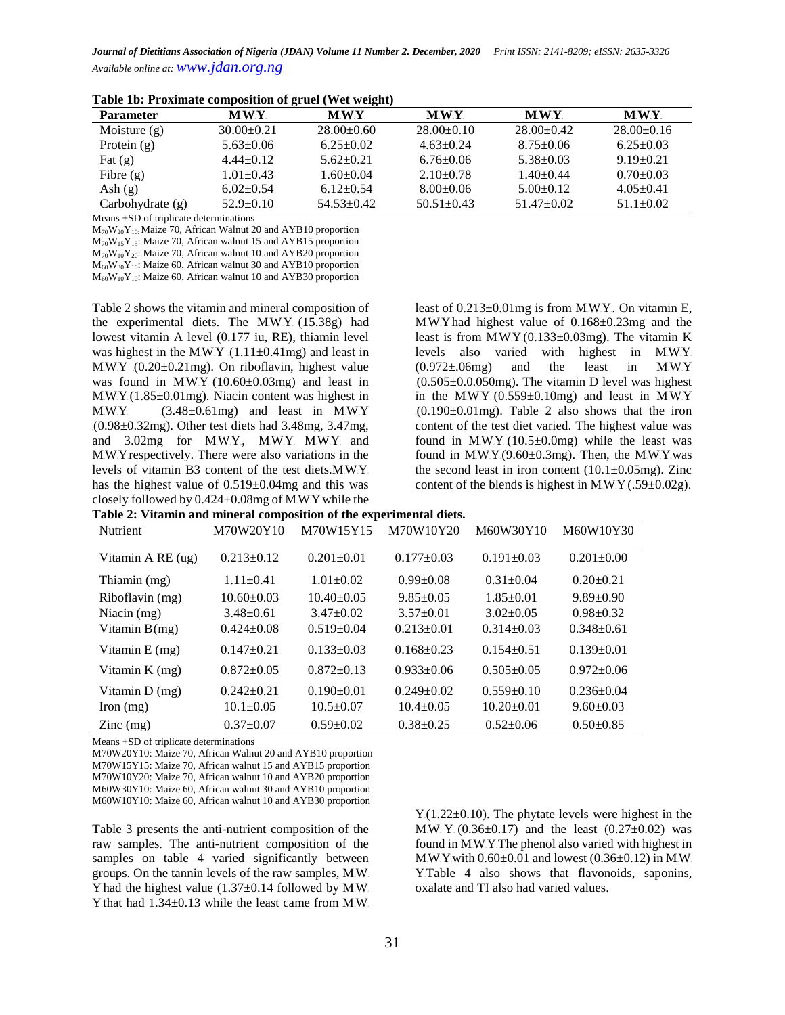| <b>Parameter</b>   | <b>MWY</b>       | <b>MWY</b>       | <b>MWY</b>       | <b>MWY</b>       | <b>MWY</b>      |
|--------------------|------------------|------------------|------------------|------------------|-----------------|
| Moisture $(g)$     | $30.00 \pm 0.21$ | $28.00+0.60$     | $28.00+0.10$     | $28.00+0.42$     | $28.00\pm0.16$  |
| Protein $(g)$      | $5.63 \pm 0.06$  | $6.25 \pm 0.02$  | $4.63 \pm 0.24$  | $8.75 \pm 0.06$  | $6.25 \pm 0.03$ |
| Fat $(g)$          | $4.44+0.12$      | $5.62 \pm 0.21$  | $6.76 \pm 0.06$  | $5.38 \pm 0.03$  | $9.19 \pm 0.21$ |
| Fibre $(g)$        | $1.01 \pm 0.43$  | $1.60 \pm 0.04$  | $2.10\pm0.78$    | $1.40 \pm 0.44$  | $0.70 \pm 0.03$ |
| Ash $(g)$          | $6.02+0.54$      | $6.12 \pm 0.54$  | $8.00 \pm 0.06$  | $5.00+0.12$      | $4.05 \pm 0.41$ |
| Carbohydrate $(g)$ | $52.9+0.10$      | $54.53 \pm 0.42$ | $50.51 \pm 0.43$ | $51.47 \pm 0.02$ | $51.1 \pm 0.02$ |

| Table 1b: Proximate composition of gruel (Wet weight) |  |  |  |  |  |
|-------------------------------------------------------|--|--|--|--|--|
|-------------------------------------------------------|--|--|--|--|--|

Means +SD of triplicate determinations

 $M_{70}W_{20}Y_{10}$ : Maize 70, African Walnut 20 and AYB10 proportion  $M_{70}W_{15}Y_{15}$ : Maize 70, African walnut 15 and AYB15 proportion  $M_{70}W_{10}Y_{20}$ : Maize 70, African walnut 10 and AYB20 proportion  $M_{60}W_{30}Y_{10}$ : Maize 60, African walnut 30 and AYB10 proportion  $M_{60}W_{10}Y_{10}$ : Maize 60, African walnut 10 and AYB30 proportion

Table 2 shows the vitamin and mineral composition of the experimental diets. The MWY (15.38g) had lowest vitamin A level (0.177 iu, RE), thiamin level was highest in the MWY  $(1.11\pm0.41mg)$  and least in MWY (0.20±0.21mg). On riboflavin, highest value was found in M.W.Y. $(10.60\pm0.03mg)$  and least in  $MW.Y.(1.85±0.01mg)$ . Niacin content was highest in MW.Y  $(3.48\pm0.61mg)$  and least in MW.Y  $(0.98\pm0.32\text{mg})$ . Other test diets had 3.48mg, 3.47mg, and 3.02mg for MWY, MWY MWY and MW. Y respectively. There were also variations in the levels of vitamin  $B3$  content of the test diets. MW.Y. has the highest value of 0.519±0.04mg and this was closely followed by  $0.424 \pm 0.08$  mg of MW.Y while the

least of  $0.213\pm0.01$  mg is from MWY. On vitamin E, M.W.Y.had highest value of 0.168±0.23mg and the least is from MWY $(0.133 \pm 0.03$ mg). The vitamin K levels also varied with highest in MWY.  $(0.972 \pm 0.06$ mg) and the least in MWY  $(0.505 \pm 0.0050$ mg). The vitamin D level was highest in the MWY $(0.559\pm0.10$ mg) and least in MWY  $10.190\pm0.01$  mg). Table 2 also shows that the iron content of the test diet varied. The highest value was found in MWY  $(10.5\pm0.0$ mg) while the least was found in  $MWY(9.60 \pm 0.3 \text{mg})$ . Then, the MWY was the second least in iron content  $(10.1\pm0.05mg)$ . Zinc content of the blends is highest in MWY $(.59\pm0.02g)$ .

|  | Table 2: Vitamin and mineral composition of the experimental diets. |  |  |
|--|---------------------------------------------------------------------|--|--|
|  |                                                                     |  |  |

| <b>Nutrient</b>            | M70W20Y10        | M70W15Y15        | M70W10Y20        | M60W30Y10        | M60W10Y30        |
|----------------------------|------------------|------------------|------------------|------------------|------------------|
| Vitamin A RE (ug)          | $0.213 \pm 0.12$ | $0.201 \pm 0.01$ | $0.177+0.03$     | $0.191 \pm 0.03$ | $0.201 \pm 0.00$ |
| Thiamin (mg)               | $1.11 \pm 0.41$  | $1.01 \pm 0.02$  | $0.99 \pm 0.08$  | $0.31 \pm 0.04$  | $0.20+0.21$      |
| Riboflavin (mg)            | $10.60 \pm 0.03$ | $10.40 \pm 0.05$ | $9.85 \pm 0.05$  | $1.85 \pm 0.01$  | $9.89 \pm 0.90$  |
| Niacin $(mg)$              | $3.48 \pm 0.61$  | $3.47 \pm 0.02$  | $3.57+0.01$      | $3.02+0.05$      | $0.98 + 0.32$    |
| Vitamin $B(mg)$            | $0.424 \pm 0.08$ | $0.519 \pm 0.04$ | $0.213 \pm 0.01$ | $0.314 \pm 0.03$ | $0.348 \pm 0.61$ |
| Vitamin $E$ (mg)           | $0.147 \pm 0.21$ | $0.133 \pm 0.03$ | $0.168 \pm 0.23$ | $0.154 \pm 0.51$ | $0.139+0.01$     |
| Vitamin K (mg)             | $0.872 \pm 0.05$ | $0.872 \pm 0.13$ | $0.933 \pm 0.06$ | $0.505 \pm 0.05$ | $0.972 \pm 0.06$ |
| Vitamin D (mg)             | $0.242+0.21$     | $0.190 \pm 0.01$ | $0.249 \pm 0.02$ | $0.559+0.10$     | $0.236 \pm 0.04$ |
| Iron $(mg)$                | $10.1 \pm 0.05$  | $10.5+0.07$      | $10.4 \pm 0.05$  | $10.20 \pm 0.01$ | $9.60 \pm 0.03$  |
| $\text{Zinc} \text{ (mg)}$ | $0.37 \pm 0.07$  | $0.59 \pm 0.02$  | $0.38 + 0.25$    | $0.52+0.06$      | $0.50+0.85$      |

Means +SD of triplicate determinations

M70W20Y10: Maize 70, African Walnut 20 and AYB10 proportion M70W15Y15: Maize 70, African walnut 15 and AYB15 proportion M70W10Y20: Maize 70, African walnut 10 and AYB20 proportion M60W30Y10: Maize 60, African walnut 30 and AYB10 proportion M60W10Y10: Maize 60, African walnut 10 and AYB30 proportion

Table 3 presents the anti-nutrient composition of the raw samples. The anti-nutrient composition of the samples on table 4 varied significantly between groups. On the tannin levels of the raw samples, MW. Y had the highest value  $(1.37±0.14$  followed by MW. Y that had  $1.34\pm0.13$  while the least came from M.W.  $Y(1.22\pm0.10)$ . The phytate levels were highest in the M.W. Y.  $(0.36 \pm 0.17)$  and the least  $(0.27 \pm 0.02)$  was found in MWY. The phenol also varied with highest in M.W.Y.with  $0.60\pm0.01$  and lowest  $(0.36\pm0.12)$  in M.W. Y.Table 4 also shows that flavonoids, saponins, oxalate and TI also had varied values.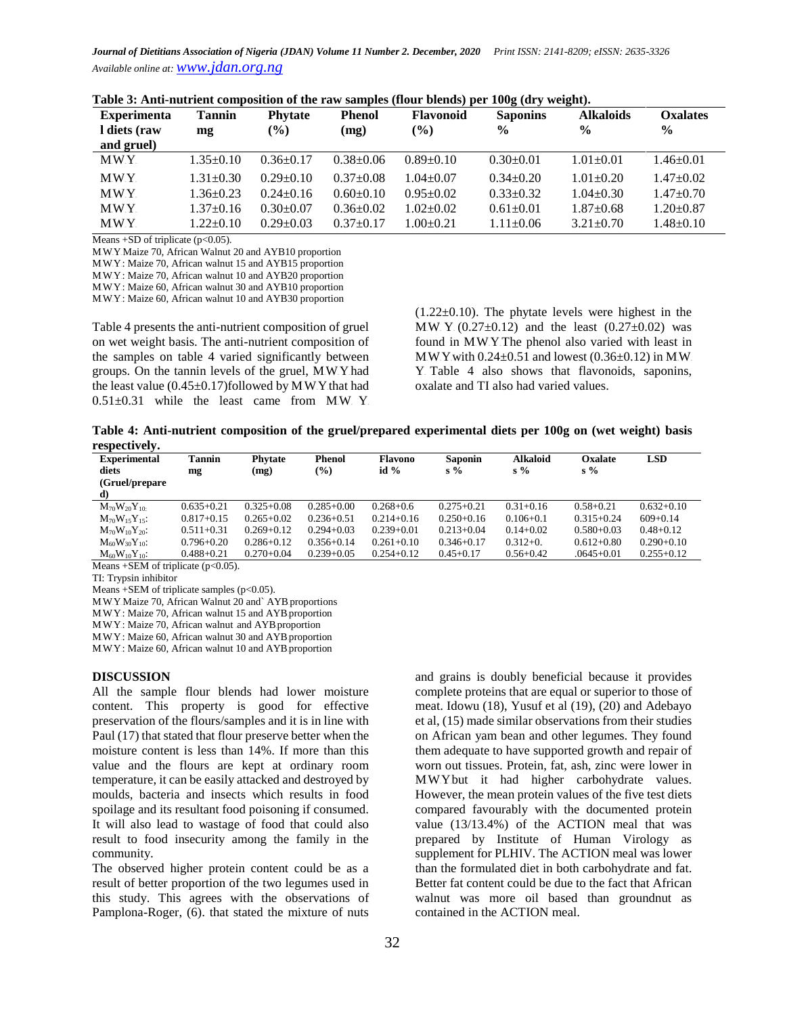| <b>Experimenta</b><br>I diets (raw | <b>Tannin</b><br>mg | <b>Phytate</b><br>$(\%)$ | <b>Phenol</b><br>(mg) | <b>Flavonoid</b><br>$\frac{6}{6}$ | <b>Saponins</b><br>$\frac{0}{0}$ | <b>Alkaloids</b><br>$\frac{6}{9}$ | <b>Oxalates</b><br>$\frac{6}{9}$ |
|------------------------------------|---------------------|--------------------------|-----------------------|-----------------------------------|----------------------------------|-----------------------------------|----------------------------------|
| and gruel)                         |                     |                          |                       |                                   |                                  |                                   |                                  |
| <b>MWY</b>                         | $1.35 \pm 0.10$     | $0.36 \pm 0.17$          | $0.38 + 0.06$         | $0.89 \pm 0.10$                   | $0.30+0.01$                      | $1.01 + 0.01$                     | $1.46 \pm 0.01$                  |
| <b>MWY</b>                         | $1.31 \pm 0.30$     | $0.29 + 0.10$            | $0.37 + 0.08$         | $1.04 + 0.07$                     | $0.34 + 0.20$                    | $1.01 \pm 0.20$                   | $1.47 \pm 0.02$                  |
| MWY.                               | $1.36 \pm 0.23$     | $0.24 + 0.16$            | $0.60+0.10$           | $0.95 \pm 0.02$                   | $0.33+0.32$                      | $1.04 + 0.30$                     | $1.47+0.70$                      |
| <b>MWY</b>                         | $1.37 \pm 0.16$     | $0.30+0.07$              | $0.36 \pm 0.02$       | $1.02 \pm 0.02$                   | $0.61 + 0.01$                    | $1.87+0.68$                       | $1.20+0.87$                      |
| <b>MWY</b>                         | $1.22 \pm 0.10$     | $0.29 + 0.03$            | $0.37 + 0.17$         | $.00+0.21$                        | $1.11 \pm 0.06$                  | $3.21 \pm 0.70$                   | $1.48 \pm 0.10$                  |

**Table 3: Anti-nutrient composition of the raw samples (flour blends) per 100g (dry weight).**

Means  $+SD$  of triplicate ( $p<0.05$ ).

M.W.Y.Maize 70, African Walnut 20 and AYB10 proportion M.W.Y.: Maize 70, African walnut 15 and AYB15 proportion M.W.Y.: Maize 70, African walnut 10 and AYB20 proportion MWY: Maize 60, African walnut 30 and AYB10 proportion

M.W.Y.: Maize 60, African walnut 10 and AYB30 proportion

Table 4 presents the anti-nutrient composition of gruel on wet weight basis. The anti-nutrient composition of the samples on table 4 varied significantly between groups. On the tannin levels of the gruel, MWY had the least value  $(0.45\pm0.17)$  followed by M.W.Y that had  $0.51\pm0.31$  while the least came from MW Y

 $(1.22\pm0.10)$ . The phytate levels were highest in the M.W. Y.  $(0.27 \pm 0.12)$  and the least  $(0.27 \pm 0.02)$  was found in MWY. The phenol also varied with least in M.W.Y.with  $0.24 \pm 0.51$  and lowest (0.36 $\pm 0.12$ ) in M.W. Y. Table 4 also shows that flavonoids, saponins, oxalate and TI also had varied values.

**Table 4: Anti-nutrient composition of the gruel/prepared experimental diets per 100g on (wet weight) basis respectively.** 

| .<br><b>Experimental</b> | <b>Tannin</b>  | <b>Phytate</b> | <b>Phenol</b>  | <b>Flavono</b> | <b>Saponin</b> | <b>Alkaloid</b> | Oxalate        | <b>LSD</b>     |
|--------------------------|----------------|----------------|----------------|----------------|----------------|-----------------|----------------|----------------|
| diets                    | mg             | (mg)           | $\frac{6}{6}$  | id $%$         | $s\%$          | $s\%$           | $s\%$          |                |
| (Gruel/prepare)          |                |                |                |                |                |                 |                |                |
| d)                       |                |                |                |                |                |                 |                |                |
| $M_{70}W_{20}Y_{10}$     | $0.635 + 0.21$ | $0.325 + 0.08$ | $0.285 + 0.00$ | $0.268 + 0.6$  | $0.275 + 0.21$ | $0.31 + 0.16$   | $0.58 + 0.21$  | $0.632+0.10$   |
| $M_{70}W_{15}Y_{15}$ :   | $0.817 + 0.15$ | $0.265 + 0.02$ | $0.236 + 0.51$ | $0.214 + 0.16$ | $0.250 + 0.16$ | $0.106 + 0.1$   | $0.315 + 0.24$ | $609+0.14$     |
| $M_{70}W_{10}Y_{20}$     | $0.511 + 0.31$ | $0.269 + 0.12$ | $0.294 + 0.03$ | $0.239 + 0.01$ | $0.213 + 0.04$ | $0.14 + 0.02$   | $0.580 + 0.03$ | $0.48 + 0.12$  |
| $M_{60}W_{30}Y_{10}$ :   | $0.796 + 0.20$ | $0.286 + 0.12$ | $0.356 + 0.14$ | $0.261 + 0.10$ | $0.346 + 0.17$ | $0.312+0.$      | $0.612 + 0.80$ | $0.290 + 0.10$ |
| $M_{60}W_{10}Y_{10}$ :   | $0.488 + 0.21$ | $0.270 + 0.04$ | $0.239 + 0.05$ | $0.254 + 0.12$ | $0.45 + 0.17$  | $0.56 + 0.42$   | $.0645 + 0.01$ | $0.255 + 0.12$ |

Means  $+$ SEM of triplicate (p<0.05).

TI: Trypsin inhibitor

Means +SEM of triplicate samples  $(p<0.05)$ .

M.W.Y.Maize 70, African Walnut 20 and` AYB proportions

M.W.Y.: Maize 70, African walnut 15 and AYB proportion

M.W.Y.: Maize 70, African walnut and AYB proportion

M.W.Y.: Maize 60, African walnut 30 and AYB proportion

M.W.Y.: Maize 60, African walnut 10 and AYB proportion

#### **DISCUSSION**

All the sample flour blends had lower moisture content. This property is good for effective preservation of the flours/samples and it is in line with Paul (17) that stated that flour preserve better when the moisture content is less than 14%. If more than this value and the flours are kept at ordinary room temperature, it can be easily attacked and destroyed by moulds, bacteria and insects which results in food spoilage and its resultant food poisoning if consumed. It will also lead to wastage of food that could also result to food insecurity among the family in the community.

The observed higher protein content could be as a result of better proportion of the two legumes used in this study. This agrees with the observations of Pamplona-Roger, (6). that stated the mixture of nuts

and grains is doubly beneficial because it provides complete proteins that are equal or superior to those of meat. Idowu (18), Yusuf et al (19), (20) and Adebayo et al, (15) made similar observations from their studies on African yam bean and other legumes. They found them adequate to have supported growth and repair of worn out tissues. Protein, fat, ash, zinc were lower in M.W.Y.but it had higher carbohydrate values. However, the mean protein values of the five test diets compared favourably with the documented protein value (13/13.4%) of the ACTION meal that was prepared by Institute of Human Virology as supplement for PLHIV. The ACTION meal was lower than the formulated diet in both carbohydrate and fat. Better fat content could be due to the fact that African walnut was more oil based than groundnut as contained in the ACTION meal.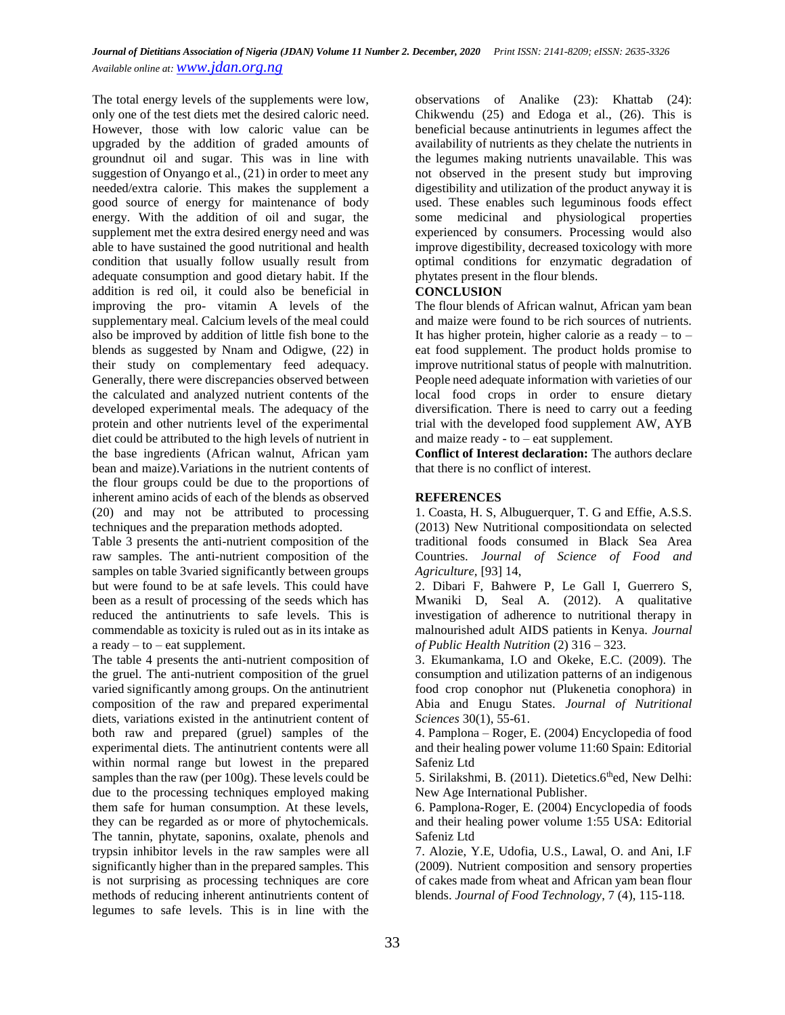The total energy levels of the supplements were low, only one of the test diets met the desired caloric need. However, those with low caloric value can be upgraded by the addition of graded amounts of groundnut oil and sugar. This was in line with suggestion of Onyango et al., (21) in order to meet any needed/extra calorie. This makes the supplement a good source of energy for maintenance of body energy. With the addition of oil and sugar, the supplement met the extra desired energy need and was able to have sustained the good nutritional and health condition that usually follow usually result from adequate consumption and good dietary habit. If the addition is red oil, it could also be beneficial in improving the pro- vitamin A levels of the supplementary meal. Calcium levels of the meal could also be improved by addition of little fish bone to the blends as suggested by Nnam and Odigwe, (22) in their study on complementary feed adequacy. Generally, there were discrepancies observed between the calculated and analyzed nutrient contents of the developed experimental meals. The adequacy of the protein and other nutrients level of the experimental diet could be attributed to the high levels of nutrient in the base ingredients (African walnut, African yam bean and maize).Variations in the nutrient contents of the flour groups could be due to the proportions of inherent amino acids of each of the blends as observed (20) and may not be attributed to processing techniques and the preparation methods adopted.

Table 3 presents the anti-nutrient composition of the raw samples. The anti-nutrient composition of the samples on table 3varied significantly between groups but were found to be at safe levels. This could have been as a result of processing of the seeds which has reduced the antinutrients to safe levels. This is commendable as toxicity is ruled out as in its intake as a ready  $-$  to  $-$  eat supplement.

The table 4 presents the anti-nutrient composition of the gruel. The anti-nutrient composition of the gruel varied significantly among groups. On the antinutrient composition of the raw and prepared experimental diets, variations existed in the antinutrient content of both raw and prepared (gruel) samples of the experimental diets. The antinutrient contents were all within normal range but lowest in the prepared samples than the raw (per 100g). These levels could be due to the processing techniques employed making them safe for human consumption. At these levels, they can be regarded as or more of phytochemicals. The tannin, phytate, saponins, oxalate, phenols and trypsin inhibitor levels in the raw samples were all significantly higher than in the prepared samples. This is not surprising as processing techniques are core methods of reducing inherent antinutrients content of legumes to safe levels. This is in line with the

observations of Analike (23): Khattab (24): Chikwendu (25) and Edoga et al., (26). This is beneficial because antinutrients in legumes affect the availability of nutrients as they chelate the nutrients in the legumes making nutrients unavailable. This was not observed in the present study but improving digestibility and utilization of the product anyway it is used. These enables such leguminous foods effect some medicinal and physiological properties experienced by consumers. Processing would also improve digestibility, decreased toxicology with more optimal conditions for enzymatic degradation of phytates present in the flour blends.

### **CONCLUSION**

The flour blends of African walnut, African yam bean and maize were found to be rich sources of nutrients. It has higher protein, higher calorie as a ready  $-$  to  $$ eat food supplement. The product holds promise to improve nutritional status of people with malnutrition. People need adequate information with varieties of our local food crops in order to ensure dietary diversification. There is need to carry out a feeding trial with the developed food supplement AW, AYB and maize ready - to – eat supplement.

**Conflict of Interest declaration:** The authors declare that there is no conflict of interest.

# **REFERENCES**

1. Coasta, H. S, Albuguerquer, T. G and Effie, A.S.S. (2013) New Nutritional compositiondata on selected traditional foods consumed in Black Sea Area Countries. *Journal of Science of Food and Agriculture,* [93] 14,

2. Dibari F, Bahwere P, Le Gall I, Guerrero S, Mwaniki D, Seal A. (2012). A qualitative investigation of adherence to nutritional therapy in malnourished adult AIDS patients in Kenya. *Journal of Public Health Nutrition* (2) 316 – 323.

3. Ekumankama, I.O and Okeke, E.C. (2009). The consumption and utilization patterns of an indigenous food crop conophor nut (Plukenetia conophora) in Abia and Enugu States. *Journal of Nutritional Sciences* 30(1), 55-61.

4. Pamplona – Roger, E. (2004) Encyclopedia of food and their healing power volume 11:60 Spain: Editorial Safeniz Ltd

5. Sirilakshmi, B. (2011). Dietetics.6<sup>th</sup>ed, New Delhi: New Age International Publisher.

6. Pamplona-Roger, E. (2004) Encyclopedia of foods and their healing power volume 1:55 USA: Editorial Safeniz Ltd

7. Alozie, Y.E, Udofia, U.S., Lawal, O. and Ani, I.F (2009). Nutrient composition and sensory properties of cakes made from wheat and African yam bean flour blends. *Journal of Food Technology*, 7 (4), 115-118.